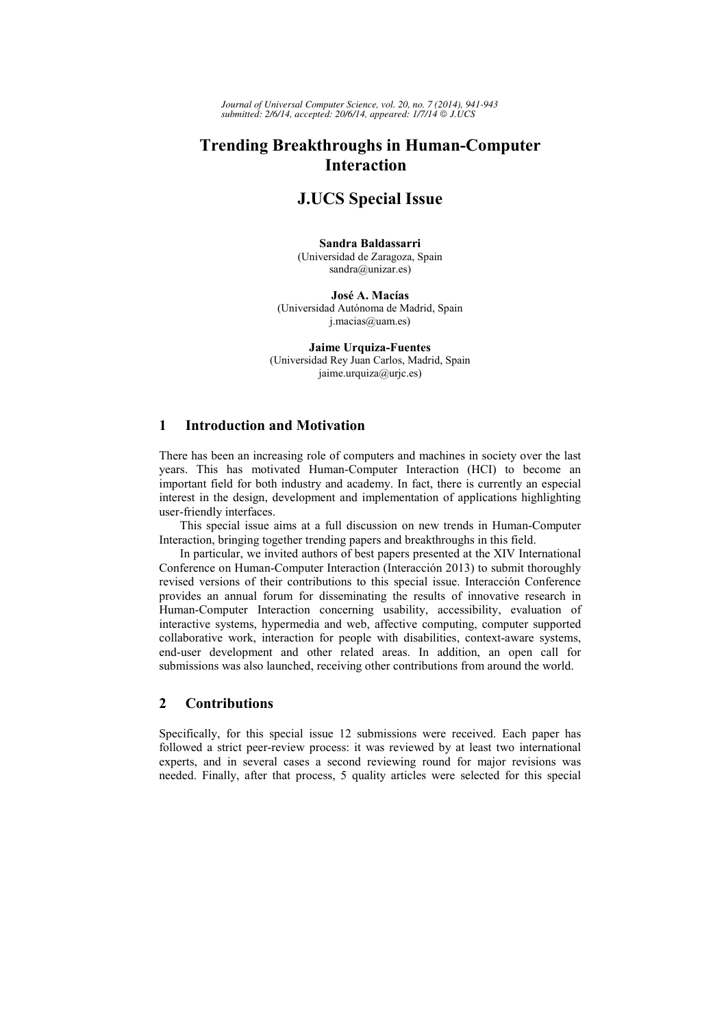*Journal of Universal Computer Science, vol. 20, no. 7 (2014), 941-943 submitted: 2/6/14, accepted: 20/6/14, appeared: 1/7/14 J.UCS*

# **Trending Breakthroughs in Human-Computer Interaction**

# **J.UCS Special Issue**

#### **Sandra Baldassarri** (Universidad de Zaragoza, Spain sandra@unizar.es)

**José A. Macías** (Universidad Autónoma de Madrid, Spain j.macias@uam.es)

**Jaime Urquiza-Fuentes** (Universidad Rey Juan Carlos, Madrid, Spain jaime.urquiza@urjc.es)

## **1 Introduction and Motivation**

There has been an increasing role of computers and machines in society over the last years. This has motivated Human-Computer Interaction (HCI) to become an important field for both industry and academy. In fact, there is currently an especial interest in the design, development and implementation of applications highlighting user-friendly interfaces.

This special issue aims at a full discussion on new trends in Human-Computer Interaction, bringing together trending papers and breakthroughs in this field.

In particular, we invited authors of best papers presented at the XIV International Conference on Human-Computer Interaction (Interacción 2013) to submit thoroughly revised versions of their contributions to this special issue. Interacción Conference provides an annual forum for disseminating the results of innovative research in Human-Computer Interaction concerning usability, accessibility, evaluation of interactive systems, hypermedia and web, affective computing, computer supported collaborative work, interaction for people with disabilities, context-aware systems, end-user development and other related areas. In addition, an open call for submissions was also launched, receiving other contributions from around the world.

## **2 Contributions**

Specifically, for this special issue 12 submissions were received. Each paper has followed a strict peer-review process: it was reviewed by at least two international experts, and in several cases a second reviewing round for major revisions was needed. Finally, after that process, 5 quality articles were selected for this special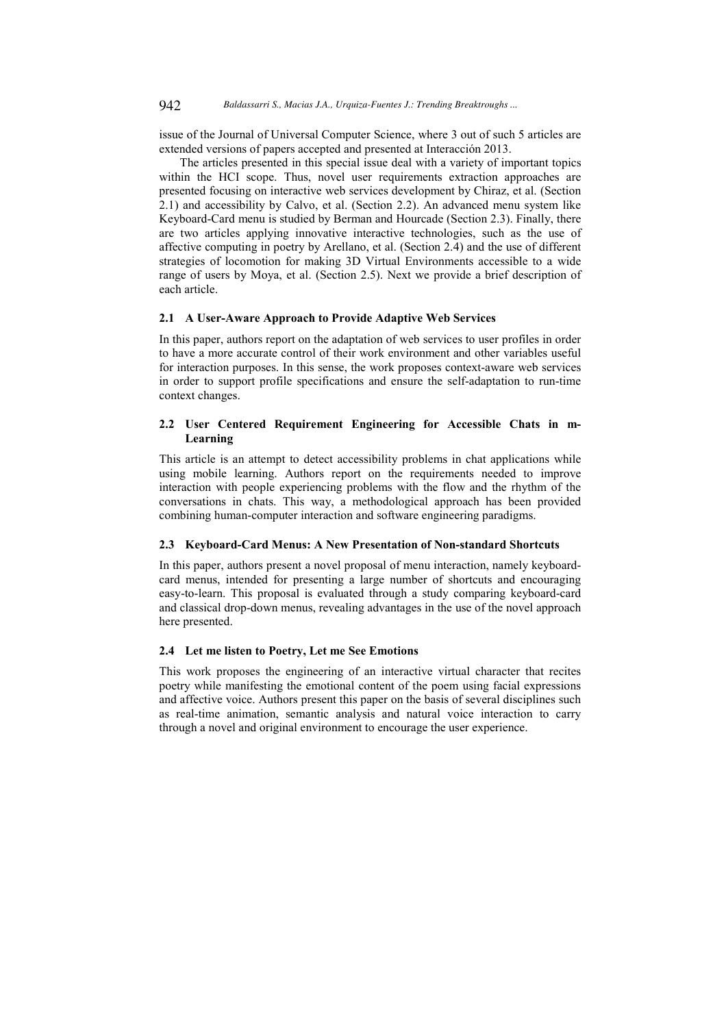issue of the Journal of Universal Computer Science, where 3 out of such 5 articles are extended versions of papers accepted and presented at Interacción 2013.

The articles presented in this special issue deal with a variety of important topics within the HCI scope. Thus, novel user requirements extraction approaches are presented focusing on interactive web services development by Chiraz, et al. (Section 2.1) and accessibility by Calvo, et al. (Section 2.2). An advanced menu system like Keyboard-Card menu is studied by Berman and Hourcade (Section 2.3). Finally, there are two articles applying innovative interactive technologies, such as the use of affective computing in poetry by Arellano, et al. (Section 2.4) and the use of different strategies of locomotion for making 3D Virtual Environments accessible to a wide range of users by Moya, et al. (Section 2.5). Next we provide a brief description of each article.

#### **2.1 A User-Aware Approach to Provide Adaptive Web Services**

In this paper, authors report on the adaptation of web services to user profiles in order to have a more accurate control of their work environment and other variables useful for interaction purposes. In this sense, the work proposes context-aware web services in order to support profile specifications and ensure the self-adaptation to run-time context changes.

#### **2.2 User Centered Requirement Engineering for Accessible Chats in m-Learning**

This article is an attempt to detect accessibility problems in chat applications while using mobile learning. Authors report on the requirements needed to improve interaction with people experiencing problems with the flow and the rhythm of the conversations in chats. This way, a methodological approach has been provided combining human-computer interaction and software engineering paradigms.

#### **2.3 Keyboard-Card Menus: A New Presentation of Non-standard Shortcuts**

In this paper, authors present a novel proposal of menu interaction, namely keyboardcard menus, intended for presenting a large number of shortcuts and encouraging easy-to-learn. This proposal is evaluated through a study comparing keyboard-card and classical drop-down menus, revealing advantages in the use of the novel approach here presented.

### **2.4 Let me listen to Poetry, Let me See Emotions**

This work proposes the engineering of an interactive virtual character that recites poetry while manifesting the emotional content of the poem using facial expressions and affective voice. Authors present this paper on the basis of several disciplines such as real-time animation, semantic analysis and natural voice interaction to carry through a novel and original environment to encourage the user experience.